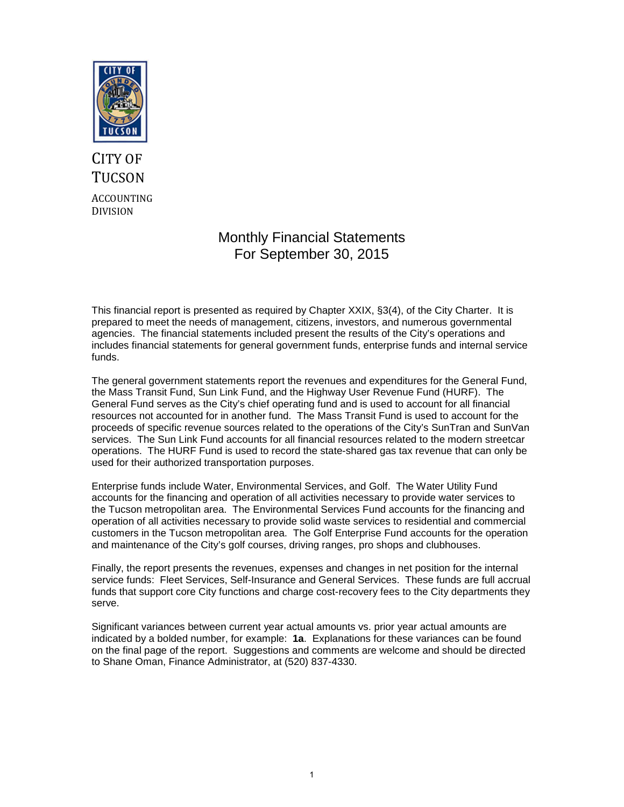

# CITY OF **TUCSON** ACCOUNTING DIVISION

# Monthly Financial Statements For September 30, 2015

This financial report is presented as required by Chapter XXIX, §3(4), of the City Charter. It is prepared to meet the needs of management, citizens, investors, and numerous governmental agencies. The financial statements included present the results of the City's operations and includes financial statements for general government funds, enterprise funds and internal service funds.

The general government statements report the revenues and expenditures for the General Fund, the Mass Transit Fund, Sun Link Fund, and the Highway User Revenue Fund (HURF). The General Fund serves as the City's chief operating fund and is used to account for all financial resources not accounted for in another fund. The Mass Transit Fund is used to account for the proceeds of specific revenue sources related to the operations of the City's SunTran and SunVan services. The Sun Link Fund accounts for all financial resources related to the modern streetcar operations. The HURF Fund is used to record the state-shared gas tax revenue that can only be used for their authorized transportation purposes.

Enterprise funds include Water, Environmental Services, and Golf. The Water Utility Fund accounts for the financing and operation of all activities necessary to provide water services to the Tucson metropolitan area. The Environmental Services Fund accounts for the financing and operation of all activities necessary to provide solid waste services to residential and commercial customers in the Tucson metropolitan area. The Golf Enterprise Fund accounts for the operation and maintenance of the City's golf courses, driving ranges, pro shops and clubhouses.

Finally, the report presents the revenues, expenses and changes in net position for the internal service funds: Fleet Services, Self-Insurance and General Services. These funds are full accrual funds that support core City functions and charge cost-recovery fees to the City departments they serve.

Significant variances between current year actual amounts vs. prior year actual amounts are indicated by a bolded number, for example: **1a**. Explanations for these variances can be found on the final page of the report. Suggestions and comments are welcome and should be directed to Shane Oman, Finance Administrator, at (520) 837-4330.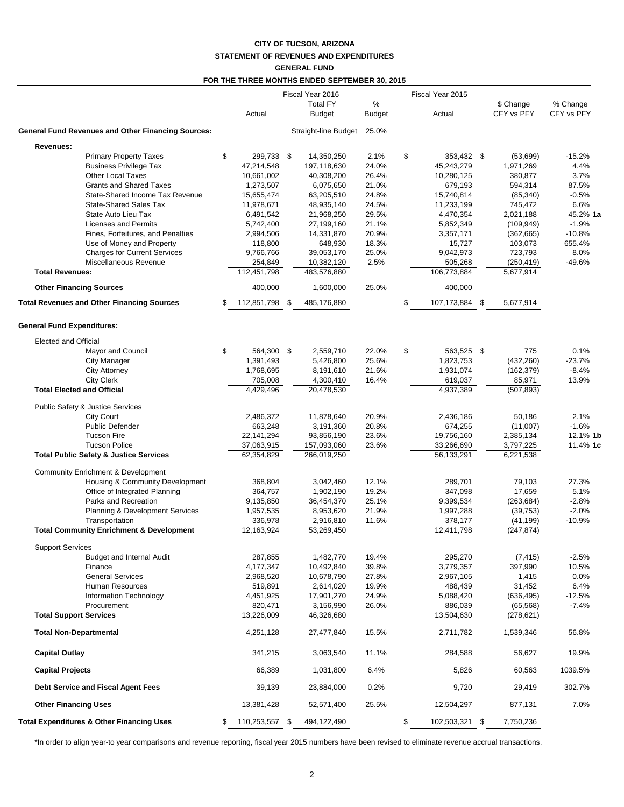## **CITY OF TUCSON, ARIZONA STATEMENT OF REVENUES AND EXPENDITURES GENERAL FUND**

#### **FOR THE THREE MONTHS ENDED SEPTEMBER 30, 2015**

|                                                                  |    |                          | Fiscal Year 2016 |                          |                |    | Fiscal Year 2015        |                         |                  |
|------------------------------------------------------------------|----|--------------------------|------------------|--------------------------|----------------|----|-------------------------|-------------------------|------------------|
|                                                                  |    |                          |                  | <b>Total FY</b>          | %              |    |                         | \$ Change               | % Change         |
|                                                                  |    | Actual                   |                  | <b>Budget</b>            | Budget         |    | Actual                  | CFY vs PFY              | CFY vs PFY       |
| <b>General Fund Revenues and Other Financing Sources:</b>        |    |                          |                  | Straight-line Budget     | 25.0%          |    |                         |                         |                  |
| Revenues:                                                        |    |                          |                  |                          |                |    |                         |                         |                  |
| <b>Primary Property Taxes</b>                                    | \$ | 299,733 \$               |                  | 14,350,250               | 2.1%           | \$ | 353,432 \$              | (53,699)                | $-15.2%$         |
| <b>Business Privilege Tax</b>                                    |    | 47,214,548               |                  | 197,118,630              | 24.0%          |    | 45,243,279              | 1,971,269               | 4.4%             |
| <b>Other Local Taxes</b>                                         |    | 10,661,002               |                  | 40,308,200               | 26.4%          |    | 10,280,125              | 380,877                 | 3.7%             |
| <b>Grants and Shared Taxes</b>                                   |    | 1,273,507                |                  | 6,075,650                | 21.0%          |    | 679,193                 | 594,314                 | 87.5%            |
| State-Shared Income Tax Revenue<br><b>State-Shared Sales Tax</b> |    | 15,655,474<br>11,978,671 |                  | 63,205,510               | 24.8%<br>24.5% |    | 15,740,814              | (85, 340)               | $-0.5%$<br>6.6%  |
| State Auto Lieu Tax                                              |    | 6,491,542                |                  | 48,935,140<br>21,968,250 | 29.5%          |    | 11,233,199<br>4,470,354 | 745,472<br>2,021,188    | 45.2% 1a         |
| <b>Licenses and Permits</b>                                      |    | 5,742,400                |                  | 27,199,160               | 21.1%          |    | 5,852,349               | (109, 949)              | $-1.9%$          |
| Fines, Forfeitures, and Penalties                                |    | 2,994,506                |                  | 14,331,870               | 20.9%          |    | 3,357,171               | (362, 665)              | $-10.8%$         |
| Use of Money and Property                                        |    | 118,800                  |                  | 648,930                  | 18.3%          |    | 15,727                  | 103,073                 | 655.4%           |
| <b>Charges for Current Services</b>                              |    | 9,766,766                |                  | 39,053,170               | 25.0%          |    | 9,042,973               | 723,793                 | 8.0%             |
| Miscellaneous Revenue                                            |    | 254,849                  |                  | 10,382,120               | 2.5%           |    | 505,268                 | (250, 419)              | $-49.6%$         |
| <b>Total Revenues:</b>                                           |    | 112,451,798              |                  | 483,576,880              |                |    | 106,773,884             | 5,677,914               |                  |
| <b>Other Financing Sources</b>                                   |    | 400,000                  |                  | 1,600,000                | 25.0%          |    | 400,000                 |                         |                  |
| <b>Total Revenues and Other Financing Sources</b>                | \$ | 112,851,798              | \$               | 485,176,880              |                | S  | 107,173,884 \$          | 5,677,914               |                  |
| <b>General Fund Expenditures:</b>                                |    |                          |                  |                          |                |    |                         |                         |                  |
| Elected and Official                                             |    |                          |                  |                          |                |    |                         |                         |                  |
| Mayor and Council                                                | \$ | 564,300 \$               |                  | 2,559,710                | 22.0%          | \$ | 563,525 \$              | 775                     | 0.1%             |
| City Manager                                                     |    | 1,391,493                |                  | 5,426,800                | 25.6%          |    | 1,823,753               | (432, 260)              | $-23.7%$         |
| <b>City Attorney</b>                                             |    | 1,768,695                |                  | 8,191,610                | 21.6%          |    | 1,931,074               | (162, 379)              | $-8.4%$          |
| <b>City Clerk</b>                                                |    | 705,008                  |                  | 4,300,410                | 16.4%          |    | 619,037                 | 85,971                  | 13.9%            |
| <b>Total Elected and Official</b>                                |    | 4,429,496                |                  | 20,478,530               |                |    | 4,937,389               | (507, 893)              |                  |
| Public Safety & Justice Services                                 |    |                          |                  |                          |                |    |                         |                         |                  |
| <b>City Court</b>                                                |    | 2,486,372                |                  | 11,878,640               | 20.9%          |    | 2,436,186               | 50,186                  | 2.1%             |
| <b>Public Defender</b>                                           |    | 663,248                  |                  | 3,191,360                | 20.8%          |    | 674,255                 | (11,007)                | $-1.6%$          |
| <b>Tucson Fire</b>                                               |    | 22, 141, 294             |                  | 93,856,190               | 23.6%          |    | 19,756,160              | 2,385,134               | 12.1% 1k         |
| <b>Tucson Police</b>                                             |    | 37,063,915               |                  | 157,093,060              | 23.6%          |    | 33,266,690              | 3,797,225               | 11.4% 1c         |
| <b>Total Public Safety &amp; Justice Services</b>                |    | 62,354,829               |                  | 266,019,250              |                |    | 56,133,291              | 6,221,538               |                  |
| <b>Community Enrichment &amp; Development</b>                    |    |                          |                  |                          |                |    |                         |                         |                  |
| Housing & Community Development                                  |    | 368,804                  |                  | 3,042,460                | 12.1%          |    | 289,701                 | 79,103                  | 27.3%            |
| Office of Integrated Planning                                    |    | 364,757                  |                  | 1,902,190                | 19.2%          |    | 347,098                 | 17,659                  | 5.1%             |
| Parks and Recreation                                             |    | 9,135,850                |                  | 36,454,370               | 25.1%          |    | 9,399,534               | (263, 684)              | $-2.8%$          |
| Planning & Development Services                                  |    | 1,957,535                |                  | 8,953,620                | 21.9%          |    | 1,997,288               | (39, 753)               | $-2.0%$          |
| Transportation                                                   |    | 336,978                  |                  | 2,916,810                | 11.6%          |    | 378,177                 | (41, 199)               | $-10.9%$         |
| <b>Total Community Enrichment &amp; Development</b>              |    | 12,163,924               |                  | 53,269,450               |                |    | 12,411,798              | (247, 874)              |                  |
| <b>Support Services</b>                                          |    |                          |                  |                          |                |    |                         |                         |                  |
| <b>Budget and Internal Audit</b>                                 |    | 287,855                  |                  | 1,482,770                | 19.4%          |    | 295,270                 | (7, 415)                | $-2.5%$          |
| Finance                                                          |    | 4,177,347                |                  | 10,492,840               | 39.8%          |    | 3,779,357               | 397,990                 | 10.5%            |
| <b>General Services</b>                                          |    | 2,968,520                |                  | 10,678,790               | 27.8%          |    | 2,967,105               | 1,415                   | 0.0%             |
| Human Resources<br><b>Information Technology</b>                 |    | 519,891                  |                  | 2,614,020<br>17,901,270  | 19.9%<br>24.9% |    | 488,439<br>5,088,420    | 31,452                  | 6.4%<br>$-12.5%$ |
| Procurement                                                      |    | 4,451,925<br>820,471     |                  | 3,156,990                | 26.0%          |    | 886,039                 | (636, 495)<br>(65, 568) | $-7.4%$          |
| <b>Total Support Services</b>                                    |    | 13,226,009               |                  | 46,326,680               |                |    | 13,504,630              | (278, 621)              |                  |
| <b>Total Non-Departmental</b>                                    |    | 4,251,128                |                  | 27,477,840               | 15.5%          |    | 2,711,782               | 1,539,346               | 56.8%            |
| <b>Capital Outlay</b>                                            |    | 341,215                  |                  | 3,063,540                | 11.1%          |    | 284,588                 | 56,627                  | 19.9%            |
|                                                                  |    |                          |                  |                          |                |    |                         |                         |                  |
| <b>Capital Projects</b>                                          |    | 66,389                   |                  | 1,031,800                | 6.4%           |    | 5,826                   | 60,563                  | 1039.5%          |
| Debt Service and Fiscal Agent Fees                               |    | 39,139                   |                  | 23,884,000               | 0.2%           |    | 9,720                   | 29,419                  | 302.7%           |
| <b>Other Financing Uses</b>                                      |    | 13,381,428               |                  | 52,571,400               | 25.5%          |    | 12,504,297              | 877,131                 | 7.0%             |
| <b>Total Expenditures &amp; Other Financing Uses</b>             | \$ | 110,253,557 \$           |                  | 494,122,490              |                | \$ | 102,503,321 \$          | 7,750,236               |                  |

\*In order to align year-to year comparisons and revenue reporting, fiscal year 2015 numbers have been revised to eliminate revenue accrual transactions.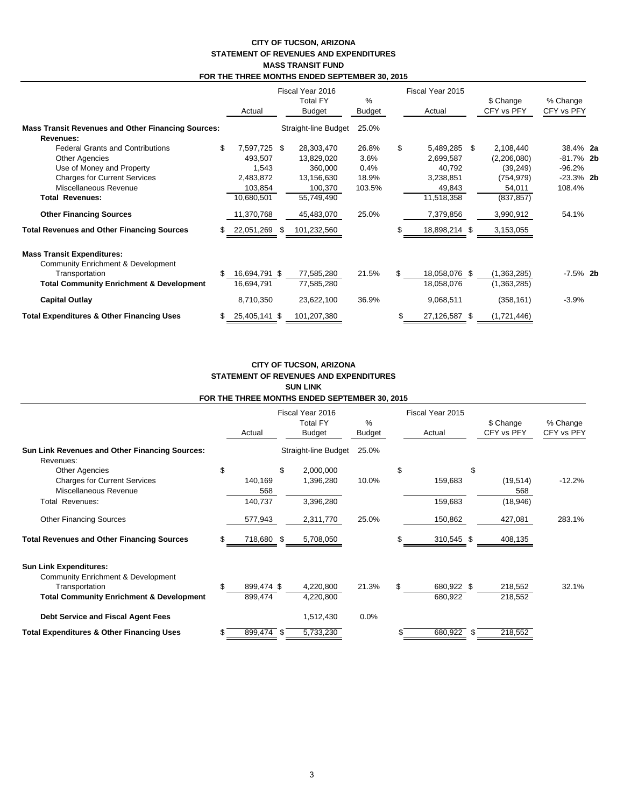## **CITY OF TUCSON, ARIZONA STATEMENT OF REVENUES AND EXPENDITURES MASS TRANSIT FUND FOR THE THREE MONTHS ENDED SEPTEMBER 30, 2015**

|                                                           |    | Actual        | Fiscal Year 2016<br><b>Total FY</b><br><b>Budget</b> |                      | %<br>Budget |    | Fiscal Year 2015<br>Actual |  | \$ Change<br>CFY vs PFY | % Change<br>CFY vs PFY |  |
|-----------------------------------------------------------|----|---------------|------------------------------------------------------|----------------------|-------------|----|----------------------------|--|-------------------------|------------------------|--|
| <b>Mass Transit Revenues and Other Financing Sources:</b> |    |               |                                                      | Straight-line Budget | 25.0%       |    |                            |  |                         |                        |  |
| Revenues:                                                 |    |               |                                                      |                      |             |    |                            |  |                         |                        |  |
| <b>Federal Grants and Contributions</b>                   |    | 7,597,725 \$  |                                                      | 28,303,470           | 26.8%       | \$ | 5,489,285 \$               |  | 2,108,440               | 38.4% 2a               |  |
| <b>Other Agencies</b>                                     |    | 493,507       |                                                      | 13,829,020           | 3.6%        |    | 2,699,587                  |  | (2,206,080)             | $-81.7\%$ 2b           |  |
| Use of Money and Property                                 |    | 1,543         |                                                      | 360,000              | 0.4%        |    | 40,792                     |  | (39, 249)               | $-96.2%$               |  |
| <b>Charges for Current Services</b>                       |    | 2,483,872     |                                                      | 13,156,630           | 18.9%       |    | 3,238,851                  |  | (754, 979)              | $-23.3\%$ 2b           |  |
| Miscellaneous Revenue                                     |    | 103,854       |                                                      | 100,370              | 103.5%      |    | 49,843                     |  | 54,011                  | 108.4%                 |  |
| <b>Total Revenues:</b>                                    |    | 10,680,501    |                                                      | 55,749,490           |             |    | 11,518,358                 |  | (837, 857)              |                        |  |
| <b>Other Financing Sources</b>                            |    | 11,370,768    |                                                      | 45,483,070           | 25.0%       |    | 7,379,856                  |  | 3,990,912               | 54.1%                  |  |
| <b>Total Revenues and Other Financing Sources</b>         | \$ | 22,051,269    | S.                                                   | 101,232,560          |             |    | 18,898,214 \$              |  | 3,153,055               |                        |  |
| <b>Mass Transit Expenditures:</b>                         |    |               |                                                      |                      |             |    |                            |  |                         |                        |  |
| Community Enrichment & Development                        |    |               |                                                      |                      |             |    |                            |  |                         |                        |  |
| Transportation                                            |    | 16,694,791 \$ |                                                      | 77,585,280           | 21.5%       |    | 18,058,076 \$              |  | (1,363,285)             | $-7.5\%$ 2b            |  |
| <b>Total Community Enrichment &amp; Development</b>       |    | 16,694,791    |                                                      | 77,585,280           |             |    | 18,058,076                 |  | (1,363,285)             |                        |  |
| <b>Capital Outlay</b>                                     |    | 8,710,350     |                                                      | 23,622,100           | 36.9%       |    | 9,068,511                  |  | (358, 161)              | $-3.9%$                |  |
| <b>Total Expenditures &amp; Other Financing Uses</b>      |    | 25,405,141 \$ |                                                      | 101,207,380          |             |    | 27,126,587 \$              |  | (1,721,446)             |                        |  |

#### **CITY OF TUCSON, ARIZONA STATEMENT OF REVENUES AND EXPENDITURES SUN LINK FOR THE THREE MONTHS ENDED SEPTEMBER 30, 2015**

|                                                                    |     |                | Fiscal Year 2016 |                      |        | Fiscal Year 2015 |      |                  |            |
|--------------------------------------------------------------------|-----|----------------|------------------|----------------------|--------|------------------|------|------------------|------------|
|                                                                    |     |                |                  | <b>Total FY</b>      |        |                  |      | \$ Change        | % Change   |
|                                                                    |     | Actual         |                  | <b>Budget</b>        | Budget | Actual           |      | CFY vs PFY       | CFY vs PFY |
| <b>Sun Link Revenues and Other Financing Sources:</b><br>Revenues: |     |                |                  | Straight-line Budget | 25.0%  |                  |      |                  |            |
| <b>Other Agencies</b>                                              | \$  |                | \$               | 2,000,000            |        | \$               | \$   |                  |            |
| <b>Charges for Current Services</b><br>Miscellaneous Revenue       |     | 140,169<br>568 |                  | 1,396,280            | 10.0%  | 159,683          |      | (19, 514)<br>568 | $-12.2%$   |
| Total Revenues:                                                    |     | 140,737        |                  | 3,396,280            |        | 159,683          |      | (18, 946)        |            |
| <b>Other Financing Sources</b>                                     |     | 577,943        |                  | 2,311,770            | 25.0%  | 150,862          |      | 427,081          | 283.1%     |
| <b>Total Revenues and Other Financing Sources</b>                  |     | 718,680 \$     |                  | 5,708,050            |        | \$<br>310,545 \$ |      | 408,135          |            |
| <b>Sun Link Expenditures:</b>                                      |     |                |                  |                      |        |                  |      |                  |            |
| Community Enrichment & Development                                 |     |                |                  |                      |        |                  |      |                  |            |
| Transportation                                                     | \$. | 899,474 \$     |                  | 4,220,800            | 21.3%  | \$<br>680,922 \$ |      | 218,552          | 32.1%      |
| <b>Total Community Enrichment &amp; Development</b>                |     | 899,474        |                  | 4,220,800            |        | 680,922          |      | 218,552          |            |
| Debt Service and Fiscal Agent Fees                                 |     |                |                  | 1,512,430            | 0.0%   |                  |      |                  |            |
| <b>Total Expenditures &amp; Other Financing Uses</b>               |     | 899,474 \$     |                  | 5,733,230            |        | 680,922          | - \$ | 218,552          |            |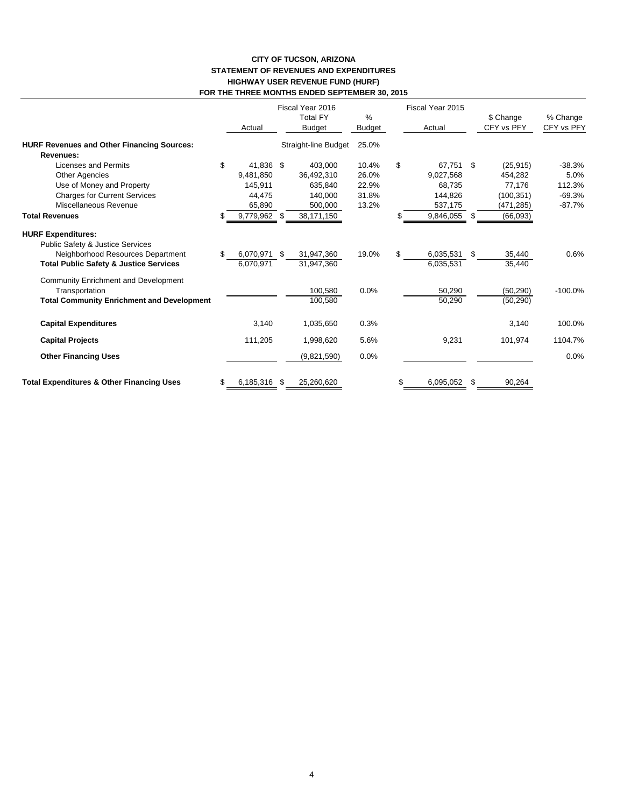### **CITY OF TUCSON, ARIZONA STATEMENT OF REVENUES AND EXPENDITURES HIGHWAY USER REVENUE FUND (HURF) FOR THE THREE MONTHS ENDED SEPTEMBER 30, 2015**

|                                                                                                                                                         |    | Actual                    | Fiscal Year 2016<br><b>Total FY</b><br><b>Budget</b> | $\%$<br>Budget |     | Fiscal Year 2015<br>Actual | \$ Change<br>CFY vs PFY | % Change<br>CFY vs PFY |
|---------------------------------------------------------------------------------------------------------------------------------------------------------|----|---------------------------|------------------------------------------------------|----------------|-----|----------------------------|-------------------------|------------------------|
| <b>HURF Revenues and Other Financing Sources:</b>                                                                                                       |    |                           | Straight-line Budget                                 | 25.0%          |     |                            |                         |                        |
| Revenues:                                                                                                                                               |    |                           |                                                      |                |     |                            |                         |                        |
| Licenses and Permits                                                                                                                                    | \$ | 41.836 \$                 | 403.000                                              | 10.4%          | \$  | 67.751 \$                  | (25, 915)               | $-38.3%$               |
| <b>Other Agencies</b>                                                                                                                                   |    | 9,481,850                 | 36,492,310                                           | 26.0%          |     | 9,027,568                  | 454,282                 | 5.0%                   |
| Use of Money and Property                                                                                                                               |    | 145.911                   | 635.840                                              | 22.9%          |     | 68.735                     | 77,176                  | 112.3%                 |
| <b>Charges for Current Services</b>                                                                                                                     |    | 44.475                    | 140.000                                              | 31.8%          |     | 144,826                    | (100, 351)              | $-69.3%$               |
| Miscellaneous Revenue                                                                                                                                   |    | 65,890                    | 500,000                                              | 13.2%          |     | 537,175                    | (471,285)               | $-87.7%$               |
| <b>Total Revenues</b>                                                                                                                                   | S  | 9,779,962 \$              | 38,171,150                                           |                | SS. | 9,846,055 \$               | (66,093)                |                        |
| <b>HURF Expenditures:</b><br>Public Safety & Justice Services<br>Neighborhood Resources Department<br><b>Total Public Safety &amp; Justice Services</b> | \$ | 6,070,971 \$<br>6.070.971 | 31,947,360<br>31,947,360                             | 19.0%          | \$  | 6,035,531<br>6,035,531     | \$<br>35,440<br>35,440  | 0.6%                   |
| Community Enrichment and Development<br>Transportation<br><b>Total Community Enrichment and Development</b>                                             |    |                           | 100,580<br>100,580                                   | 0.0%           |     | 50,290<br>50,290           | (50, 290)<br>(50, 290)  | $-100.0%$              |
| <b>Capital Expenditures</b>                                                                                                                             |    | 3,140                     | 1,035,650                                            | 0.3%           |     |                            | 3,140                   | 100.0%                 |
| <b>Capital Projects</b>                                                                                                                                 |    | 111,205                   | 1,998,620                                            | 5.6%           |     | 9,231                      | 101,974                 | 1104.7%                |
| <b>Other Financing Uses</b>                                                                                                                             |    |                           | (9,821,590)                                          | 0.0%           |     |                            |                         | 0.0%                   |
| <b>Total Expenditures &amp; Other Financing Uses</b>                                                                                                    | \$ | 6,185,316 \$              | 25,260,620                                           |                | \$  | 6,095,052                  | \$<br>90,264            |                        |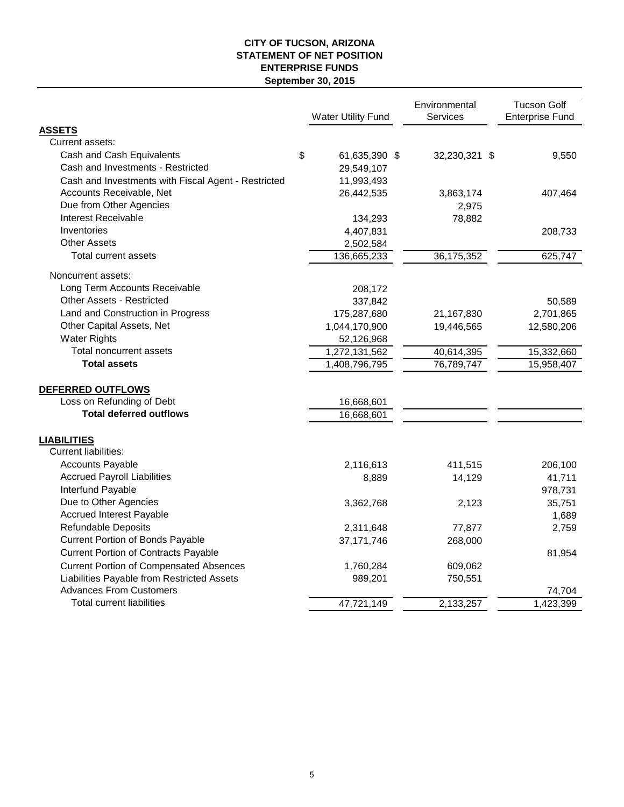# **CITY OF TUCSON, ARIZONA STATEMENT OF NET POSITION ENTERPRISE FUNDS September 30, 2015**

|                                                     | <b>Water Utility Fund</b> | Environmental<br><b>Services</b> | <b>Tucson Golf</b><br><b>Enterprise Fund</b> |            |
|-----------------------------------------------------|---------------------------|----------------------------------|----------------------------------------------|------------|
| <b>ASSETS</b>                                       |                           |                                  |                                              |            |
| Current assets:                                     |                           |                                  |                                              |            |
| Cash and Cash Equivalents                           | \$<br>61,635,390 \$       | 32,230,321 \$                    |                                              | 9,550      |
| Cash and Investments - Restricted                   | 29,549,107                |                                  |                                              |            |
| Cash and Investments with Fiscal Agent - Restricted | 11,993,493                |                                  |                                              |            |
| Accounts Receivable, Net                            | 26,442,535                | 3,863,174                        |                                              | 407,464    |
| Due from Other Agencies                             |                           | 2,975                            |                                              |            |
| Interest Receivable                                 | 134,293                   | 78,882                           |                                              |            |
| Inventories                                         | 4,407,831                 |                                  |                                              | 208,733    |
| <b>Other Assets</b>                                 | 2,502,584                 |                                  |                                              |            |
| Total current assets                                | 136,665,233               | 36, 175, 352                     |                                              | 625,747    |
| Noncurrent assets:                                  |                           |                                  |                                              |            |
| Long Term Accounts Receivable                       | 208,172                   |                                  |                                              |            |
| <b>Other Assets - Restricted</b>                    | 337,842                   |                                  |                                              | 50,589     |
| Land and Construction in Progress                   | 175,287,680               | 21,167,830                       |                                              | 2,701,865  |
| Other Capital Assets, Net                           | 1,044,170,900             | 19,446,565                       |                                              | 12,580,206 |
| <b>Water Rights</b>                                 | 52,126,968                |                                  |                                              |            |
| Total noncurrent assets                             | 1,272,131,562             | 40,614,395                       |                                              | 15,332,660 |
| <b>Total assets</b>                                 | 1,408,796,795             | 76,789,747                       |                                              | 15,958,407 |
| DEFERRED OUTFLOWS                                   |                           |                                  |                                              |            |
| Loss on Refunding of Debt                           | 16,668,601                |                                  |                                              |            |
| <b>Total deferred outflows</b>                      | 16,668,601                |                                  |                                              |            |
| <b>LIABILITIES</b>                                  |                           |                                  |                                              |            |
| <b>Current liabilities:</b>                         |                           |                                  |                                              |            |
| <b>Accounts Payable</b>                             | 2,116,613                 | 411,515                          |                                              | 206,100    |
| <b>Accrued Payroll Liabilities</b>                  | 8,889                     | 14,129                           |                                              | 41,711     |
| Interfund Payable                                   |                           |                                  |                                              | 978,731    |
| Due to Other Agencies                               | 3,362,768                 | 2,123                            |                                              | 35,751     |
| <b>Accrued Interest Payable</b>                     |                           |                                  |                                              | 1,689      |
| <b>Refundable Deposits</b>                          | 2,311,648                 | 77,877                           |                                              | 2,759      |
| <b>Current Portion of Bonds Payable</b>             | 37, 171, 746              | 268,000                          |                                              |            |
| <b>Current Portion of Contracts Payable</b>         |                           |                                  |                                              | 81,954     |
| <b>Current Portion of Compensated Absences</b>      | 1,760,284                 | 609,062                          |                                              |            |
| Liabilities Payable from Restricted Assets          | 989,201                   | 750,551                          |                                              |            |
| <b>Advances From Customers</b>                      |                           |                                  |                                              | 74,704     |
| <b>Total current liabilities</b>                    | 47,721,149                | 2,133,257                        |                                              | 1,423,399  |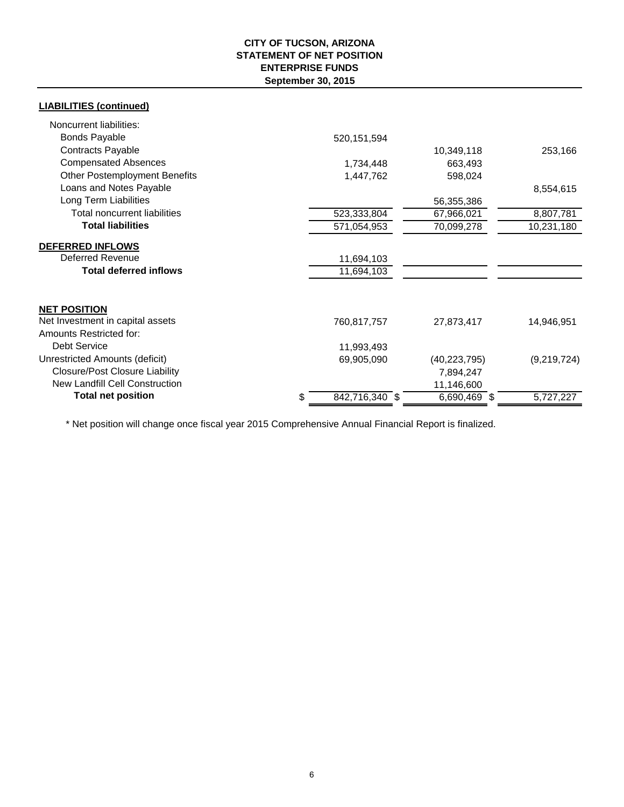# **CITY OF TUCSON, ARIZONA STATEMENT OF NET POSITION ENTERPRISE FUNDS September 30, 2015**

| <b>LIABILITIES (continued)</b>        |                      |                |             |
|---------------------------------------|----------------------|----------------|-------------|
| Noncurrent liabilities:               |                      |                |             |
| <b>Bonds Payable</b>                  | 520, 151, 594        |                |             |
| <b>Contracts Payable</b>              |                      | 10,349,118     | 253,166     |
| <b>Compensated Absences</b>           | 1,734,448            | 663,493        |             |
| <b>Other Postemployment Benefits</b>  | 1,447,762            | 598,024        |             |
| Loans and Notes Payable               |                      |                | 8,554,615   |
| Long Term Liabilities                 |                      | 56,355,386     |             |
| Total noncurrent liabilities          | 523,333,804          | 67,966,021     | 8,807,781   |
| <b>Total liabilities</b>              | 571,054,953          | 70,099,278     | 10,231,180  |
| <b>DEFERRED INFLOWS</b>               |                      |                |             |
| <b>Deferred Revenue</b>               | 11,694,103           |                |             |
| <b>Total deferred inflows</b>         | 11,694,103           |                |             |
| <b>NET POSITION</b>                   |                      |                |             |
| Net Investment in capital assets      | 760,817,757          | 27,873,417     | 14,946,951  |
| Amounts Restricted for:               |                      |                |             |
| <b>Debt Service</b>                   | 11,993,493           |                |             |
| Unrestricted Amounts (deficit)        | 69,905,090           | (40, 223, 795) | (9,219,724) |
| <b>Closure/Post Closure Liability</b> |                      | 7,894,247      |             |
| New Landfill Cell Construction        |                      | 11,146,600     |             |
| <b>Total net position</b>             | 842,716,340 \$<br>\$ | 6,690,469 \$   | 5,727,227   |

\* Net position will change once fiscal year 2015 Comprehensive Annual Financial Report is finalized.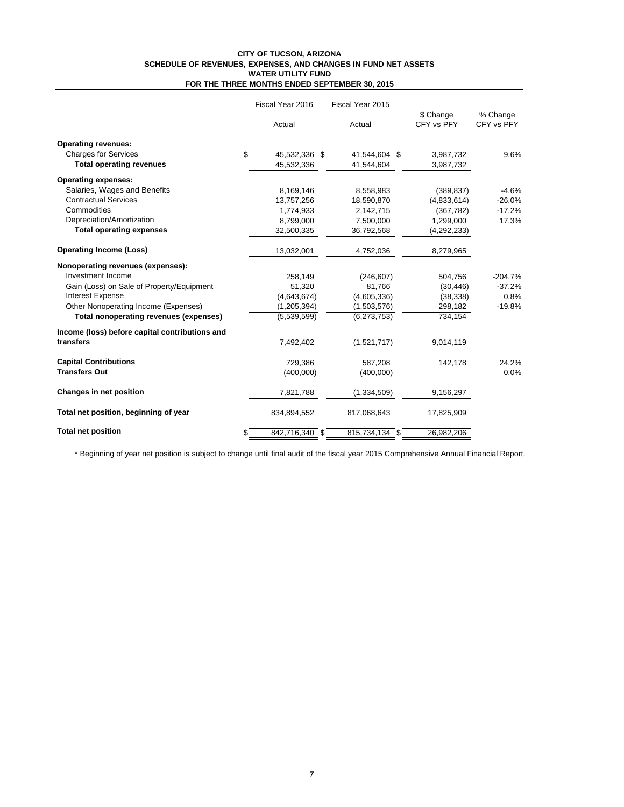#### **CITY OF TUCSON, ARIZONA SCHEDULE OF REVENUES, EXPENSES, AND CHANGES IN FUND NET ASSETS WATER UTILITY FUND FOR THE THREE MONTHS ENDED SEPTEMBER 30, 2015**

|                                                | Fiscal Year 2016     | Fiscal Year 2015 |               |            |  |
|------------------------------------------------|----------------------|------------------|---------------|------------|--|
|                                                |                      |                  | \$ Change     | % Change   |  |
|                                                | Actual               | Actual           | CFY vs PFY    | CFY vs PFY |  |
| <b>Operating revenues:</b>                     |                      |                  |               |            |  |
| <b>Charges for Services</b>                    | \$<br>45,532,336 \$  | 41,544,604 \$    | 3,987,732     | 9.6%       |  |
| <b>Total operating revenues</b>                | 45,532,336           | 41,544,604       | 3,987,732     |            |  |
| <b>Operating expenses:</b>                     |                      |                  |               |            |  |
| Salaries, Wages and Benefits                   | 8,169,146            | 8,558,983        | (389, 837)    | $-4.6%$    |  |
| <b>Contractual Services</b>                    | 13,757,256           | 18,590,870       | (4,833,614)   | $-26.0%$   |  |
| Commodities                                    | 1,774,933            | 2,142,715        | (367, 782)    | $-17.2%$   |  |
| Depreciation/Amortization                      | 8,799,000            | 7,500,000        | 1,299,000     | 17.3%      |  |
| <b>Total operating expenses</b>                | 32,500,335           | 36,792,568       | (4, 292, 233) |            |  |
| <b>Operating Income (Loss)</b>                 | 13,032,001           | 4,752,036        | 8,279,965     |            |  |
| Nonoperating revenues (expenses):              |                      |                  |               |            |  |
| Investment Income                              | 258,149              | (246, 607)       | 504,756       | $-204.7%$  |  |
| Gain (Loss) on Sale of Property/Equipment      | 51,320               | 81,766           | (30, 446)     | $-37.2%$   |  |
| <b>Interest Expense</b>                        | (4,643,674)          | (4,605,336)      | (38, 338)     | 0.8%       |  |
| Other Nonoperating Income (Expenses)           | (1, 205, 394)        | (1,503,576)      | 298,182       | $-19.8%$   |  |
| Total nonoperating revenues (expenses)         | (5,539,599)          | (6,273,753)      | 734,154       |            |  |
| Income (loss) before capital contributions and |                      |                  |               |            |  |
| transfers                                      | 7,492,402            | (1,521,717)      | 9,014,119     |            |  |
| <b>Capital Contributions</b>                   | 729.386              | 587.208          | 142,178       | 24.2%      |  |
| <b>Transfers Out</b>                           | (400,000)            | (400,000)        |               | 0.0%       |  |
|                                                |                      |                  |               |            |  |
| Changes in net position                        | 7,821,788            | (1, 334, 509)    | 9,156,297     |            |  |
| Total net position, beginning of year          | 834,894,552          | 817,068,643      | 17,825,909    |            |  |
| <b>Total net position</b>                      | 842,716,340 \$<br>\$ | 815,734,134 \$   | 26,982,206    |            |  |

\* Beginning of year net position is subject to change until final audit of the fiscal year 2015 Comprehensive Annual Financial Report.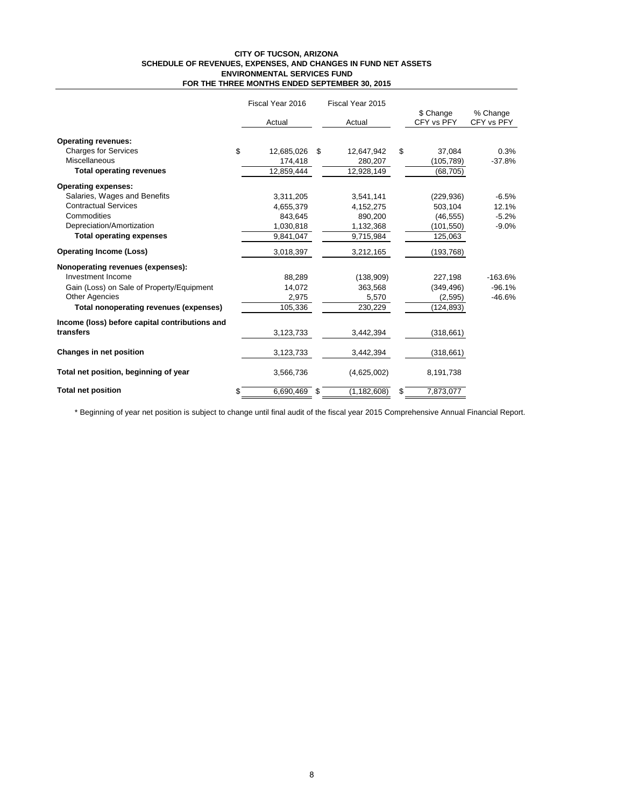#### **CITY OF TUCSON, ARIZONA SCHEDULE OF REVENUES, EXPENSES, AND CHANGES IN FUND NET ASSETS ENVIRONMENTAL SERVICES FUND FOR THE THREE MONTHS ENDED SEPTEMBER 30, 2015**

|                                                | Fiscal Year 2016      |    | Fiscal Year 2015 |    |                         |                        |
|------------------------------------------------|-----------------------|----|------------------|----|-------------------------|------------------------|
|                                                | Actual                |    | Actual           |    | \$ Change<br>CFY vs PFY | % Change<br>CFY vs PFY |
| <b>Operating revenues:</b>                     |                       |    |                  |    |                         |                        |
| <b>Charges for Services</b>                    | \$<br>12,685,026      | \$ | 12,647,942       | \$ | 37,084                  | 0.3%                   |
| <b>Miscellaneous</b>                           | 174,418               |    | 280,207          |    | (105,789)               | $-37.8%$               |
| <b>Total operating revenues</b>                | 12,859,444            |    | 12,928,149       |    | (68, 705)               |                        |
| <b>Operating expenses:</b>                     |                       |    |                  |    |                         |                        |
| Salaries, Wages and Benefits                   | 3,311,205             |    | 3,541,141        |    | (229, 936)              | $-6.5%$                |
| <b>Contractual Services</b>                    | 4,655,379             |    | 4,152,275        |    | 503,104                 | 12.1%                  |
| Commodities                                    | 843,645               |    | 890,200          |    | (46, 555)               | $-5.2%$                |
| Depreciation/Amortization                      | 1,030,818             |    | 1,132,368        |    | (101,550)               | $-9.0%$                |
| <b>Total operating expenses</b>                | 9,841,047             |    | 9,715,984        |    | 125,063                 |                        |
| <b>Operating Income (Loss)</b>                 | 3,018,397             |    | 3,212,165        |    | (193,768)               |                        |
| Nonoperating revenues (expenses):              |                       |    |                  |    |                         |                        |
| Investment Income                              | 88,289                |    | (138,909)        |    | 227,198                 | $-163.6%$              |
| Gain (Loss) on Sale of Property/Equipment      | 14,072                |    | 363,568          |    | (349, 496)              | $-96.1%$               |
| <b>Other Agencies</b>                          | 2.975                 |    | 5,570            |    | (2,595)                 | $-46.6%$               |
| Total nonoperating revenues (expenses)         | 105,336               |    | 230,229          |    | (124, 893)              |                        |
| Income (loss) before capital contributions and |                       |    |                  |    |                         |                        |
| transfers                                      | 3,123,733             |    | 3,442,394        |    | (318, 661)              |                        |
| Changes in net position                        | 3,123,733             |    | 3,442,394        |    | (318, 661)              |                        |
| Total net position, beginning of year          | 3,566,736             |    | (4,625,002)      |    | 8,191,738               |                        |
| <b>Total net position</b>                      | \$<br>6,690,469<br>\$ |    | (1, 182, 608)    | \$ | 7,873,077               |                        |

\* Beginning of year net position is subject to change until final audit of the fiscal year 2015 Comprehensive Annual Financial Report.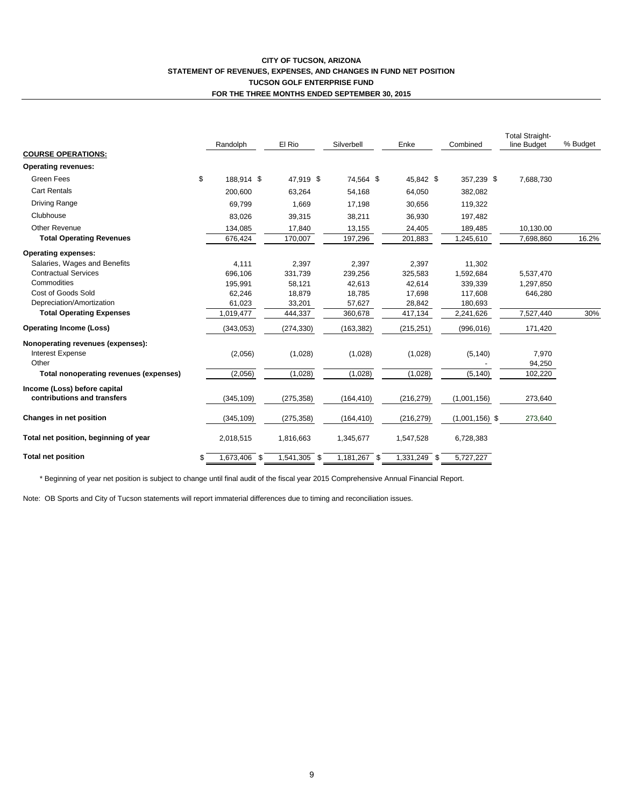### **CITY OF TUCSON, ARIZONA STATEMENT OF REVENUES, EXPENSES, AND CHANGES IN FUND NET POSITION TUCSON GOLF ENTERPRISE FUND FOR THE THREE MONTHS ENDED SEPTEMBER 30, 2015**

|                                        | El Rio<br>Randolph |              |              | Silverbell   | Enke         | Combined         | <b>Total Straight-</b><br>line Budget | % Budget |  |
|----------------------------------------|--------------------|--------------|--------------|--------------|--------------|------------------|---------------------------------------|----------|--|
| <b>COURSE OPERATIONS:</b>              |                    |              |              |              |              |                  |                                       |          |  |
| <b>Operating revenues:</b>             |                    |              |              |              |              |                  |                                       |          |  |
| <b>Green Fees</b>                      | \$                 | 188.914 \$   | 47.919 \$    | 74.564 \$    | 45.842 \$    | 357.239 \$       | 7,688,730                             |          |  |
| <b>Cart Rentals</b>                    |                    | 200,600      | 63,264       | 54,168       | 64,050       | 382,082          |                                       |          |  |
| Driving Range                          |                    | 69,799       | 1,669        | 17,198       | 30,656       | 119,322          |                                       |          |  |
| Clubhouse                              |                    | 83,026       | 39,315       | 38,211       | 36,930       | 197,482          |                                       |          |  |
| <b>Other Revenue</b>                   |                    | 134,085      | 17,840       | 13,155       | 24,405       | 189,485          | 10,130.00                             |          |  |
| <b>Total Operating Revenues</b>        |                    | 676,424      | 170,007      | 197,296      | 201,883      | 1,245,610        | 7,698,860                             | 16.2%    |  |
| <b>Operating expenses:</b>             |                    |              |              |              |              |                  |                                       |          |  |
| Salaries, Wages and Benefits           |                    | 4,111        | 2,397        | 2,397        | 2,397        | 11,302           |                                       |          |  |
| <b>Contractual Services</b>            |                    | 696,106      | 331,739      | 239,256      | 325,583      | 1,592,684        | 5,537,470                             |          |  |
| Commodities                            |                    | 195,991      | 58,121       | 42,613       | 42,614       | 339,339          | 1,297,850                             |          |  |
| Cost of Goods Sold                     |                    | 62,246       | 18,879       | 18,785       | 17,698       | 117,608          | 646,280                               |          |  |
| Depreciation/Amortization              |                    | 61,023       | 33,201       | 57,627       | 28,842       | 180,693          |                                       |          |  |
| <b>Total Operating Expenses</b>        |                    | 1,019,477    | 444,337      | 360,678      | 417,134      | 2,241,626        | 7,527,440                             | 30%      |  |
| <b>Operating Income (Loss)</b>         |                    | (343,053)    | (274, 330)   | (163, 382)   | (215, 251)   | (996, 016)       | 171,420                               |          |  |
| Nonoperating revenues (expenses):      |                    |              |              |              |              |                  |                                       |          |  |
| <b>Interest Expense</b>                |                    | (2,056)      | (1,028)      | (1,028)      | (1,028)      | (5, 140)         | 7,970                                 |          |  |
| Other                                  |                    |              |              |              |              |                  | 94,250                                |          |  |
| Total nonoperating revenues (expenses) |                    | (2,056)      | (1,028)      | (1,028)      | (1,028)      | (5, 140)         | 102,220                               |          |  |
| Income (Loss) before capital           |                    |              |              |              |              |                  |                                       |          |  |
| contributions and transfers            |                    | (345, 109)   | (275, 358)   | (164, 410)   | (216, 279)   | (1,001,156)      | 273,640                               |          |  |
| Changes in net position                |                    | (345, 109)   | (275, 358)   | (164, 410)   | (216, 279)   | $(1,001,156)$ \$ | 273,640                               |          |  |
| Total net position, beginning of year  |                    | 2,018,515    | 1,816,663    | 1,345,677    | 1,547,528    | 6,728,383        |                                       |          |  |
| <b>Total net position</b>              | \$                 | 1,673,406 \$ | 1,541,305 \$ | 1,181,267 \$ | 1,331,249 \$ | 5,727,227        |                                       |          |  |

\* Beginning of year net position is subject to change until final audit of the fiscal year 2015 Comprehensive Annual Financial Report.

Note: OB Sports and City of Tucson statements will report immaterial differences due to timing and reconciliation issues.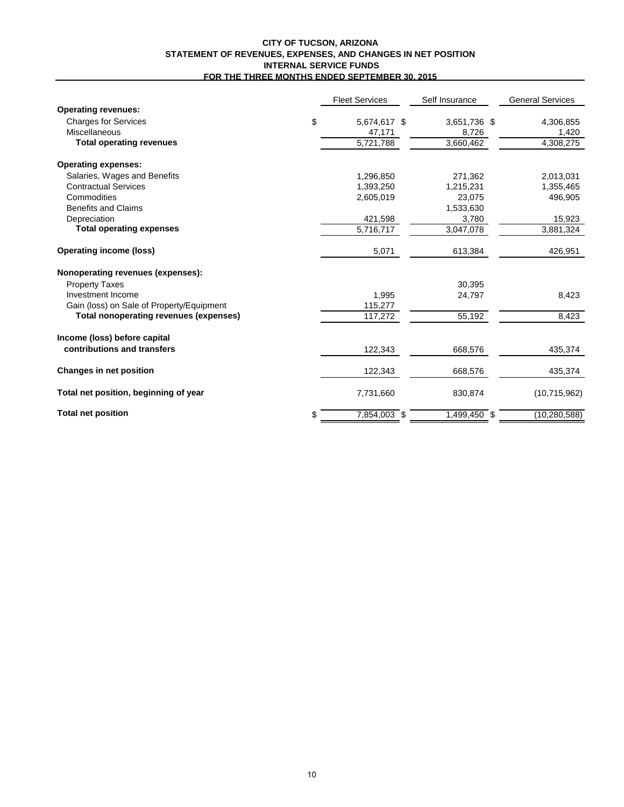## **CITY OF TUCSON, ARIZONA STATEMENT OF REVENUES, EXPENSES, AND CHANGES IN NET POSITION INTERNAL SERVICE FUNDS FOR THE THREE MONTHS ENDED SEPTEMBER 30, 2015**

|                                           | <b>Fleet Services</b> | Self Insurance | <b>General Services</b> |
|-------------------------------------------|-----------------------|----------------|-------------------------|
| <b>Operating revenues:</b>                |                       |                |                         |
| <b>Charges for Services</b>               | \$<br>5,674,617 \$    | 3,651,736 \$   | 4,306,855               |
| Miscellaneous                             | 47,171                | 8,726          | 1.420                   |
| <b>Total operating revenues</b>           | 5,721,788             | 3,660,462      | 4,308,275               |
| <b>Operating expenses:</b>                |                       |                |                         |
| Salaries, Wages and Benefits              | 1,296,850             | 271,362        | 2,013,031               |
| <b>Contractual Services</b>               | 1,393,250             | 1,215,231      | 1,355,465               |
| Commodities                               | 2,605,019             | 23,075         | 496,905                 |
| <b>Benefits and Claims</b>                |                       | 1,533,630      |                         |
| Depreciation                              | 421,598               | 3,780          | 15,923                  |
| <b>Total operating expenses</b>           | 5,716,717             | 3,047,078      | 3,881,324               |
| <b>Operating income (loss)</b>            | 5,071                 | 613,384        | 426,951                 |
| Nonoperating revenues (expenses):         |                       |                |                         |
| <b>Property Taxes</b>                     |                       | 30,395         |                         |
| Investment Income                         | 1,995                 | 24,797         | 8,423                   |
| Gain (loss) on Sale of Property/Equipment | 115,277               |                |                         |
| Total nonoperating revenues (expenses)    | 117,272               | 55,192         | 8,423                   |
| Income (loss) before capital              |                       |                |                         |
| contributions and transfers               | 122,343               | 668,576        | 435,374                 |
| <b>Changes in net position</b>            | 122,343               | 668,576        | 435,374                 |
| Total net position, beginning of year     | 7,731,660             | 830,874        | (10, 715, 962)          |
| <b>Total net position</b>                 | \$<br>7,854,003 \$    | 1,499,450 \$   | (10, 280, 588)          |